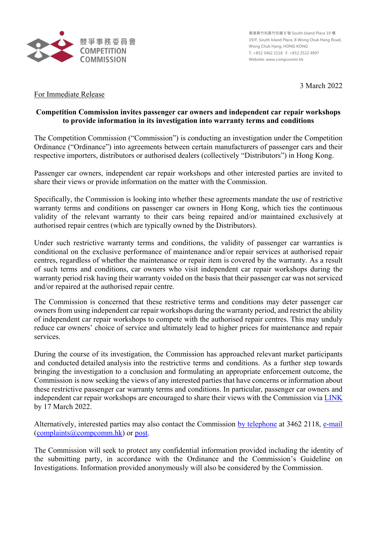

**香港黃竹坑黃竹坑道 8 號 South Island Place 19 樓 19/F, South Island Place, 8 Wong Chuk Hang Road, Wong Chuk Hang, HONG KONG T: +852 3462 2118 F: +852 2522 4997 Website: www.compcomm.hk**

3 March 2022

## For Immediate Release

## **Competition Commission invites passenger car owners and independent car repair workshops to provide information in its investigation into warranty terms and conditions**

The Competition Commission ("Commission") is conducting an investigation under the Competition Ordinance ("Ordinance") into agreements between certain manufacturers of passenger cars and their respective importers, distributors or authorised dealers (collectively "Distributors") in Hong Kong.

Passenger car owners, independent car repair workshops and other interested parties are invited to share their views or provide information on the matter with the Commission.

Specifically, the Commission is looking into whether these agreements mandate the use of restrictive warranty terms and conditions on passenger car owners in Hong Kong, which ties the continuous validity of the relevant warranty to their cars being repaired and/or maintained exclusively at authorised repair centres (which are typically owned by the Distributors).

Under such restrictive warranty terms and conditions, the validity of passenger car warranties is conditional on the exclusive performance of maintenance and/or repair services at authorised repair centres, regardless of whether the maintenance or repair item is covered by the warranty. As a result of such terms and conditions, car owners who visit independent car repair workshops during the warranty period risk having their warranty voided on the basis that their passenger car was not serviced and/or repaired at the authorised repair centre.

The Commission is concerned that these restrictive terms and conditions may deter passenger car owners from using independent car repair workshops during the warranty period, and restrict the ability of independent car repair workshops to compete with the authorised repair centres. This may unduly reduce car owners' choice of service and ultimately lead to higher prices for maintenance and repair services.

During the course of its investigation, the Commission has approached relevant market participants and conducted detailed analysis into the restrictive terms and conditions. As a further step towards bringing the investigation to a conclusion and formulating an appropriate enforcement outcome, the Commission is now seeking the views of any interested parties that have concerns or information about these restrictive passenger car warranty terms and conditions. In particular, passenger car owners and independent car repair workshops are encouraged to share their views with the Commission via [LINK](https://www.compcomm.hk/en/survey/index.html) by 17 March 2022.

Alternatively, interested parties may also contact the Commission [by telephone](https://www.compcomm.hk/en/applications/make_a_complaint/complaint.html#phone) at 3462 2118, [e-mail](https://www.compcomm.hk/en/applications/make_a_complaint/complaint.html#email) [\(complaints@compcomm.hk\)](mailto:complaints@compcomm.hk) or [post.](https://www.compcomm.hk/en/applications/make_a_complaint/complaint.html#post_icon)

The Commission will seek to protect any confidential information provided including the identity of the submitting party, in accordance with the Ordinance and the Commission's Guideline on Investigations. Information provided anonymously will also be considered by the Commission.